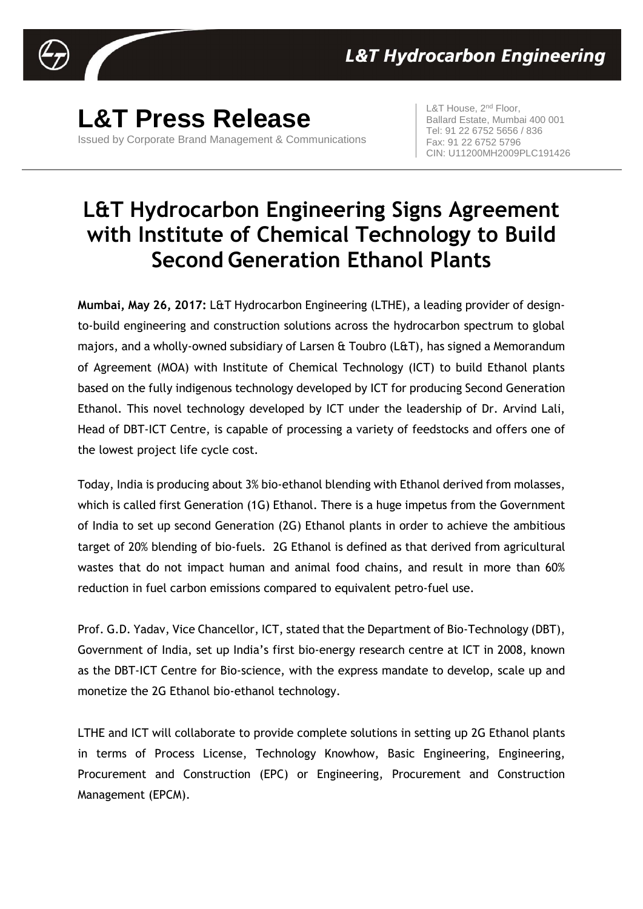

**L&T Press Release** Issued by Corporate Brand Management & Communications L&T House, 2<sup>nd</sup> Floor, Ballard Estate, Mumbai 400 001 Tel: 91 22 6752 5656 / 836 Fax: 91 22 6752 5796 CIN: U11200MH2009PLC191426

## **L&T Hydrocarbon Engineering Signs Agreement with Institute of Chemical Technology to Build Second Generation Ethanol Plants**

**Mumbai, May 26, 2017:** L&T Hydrocarbon Engineering (LTHE), a leading provider of designto-build engineering and construction solutions across the hydrocarbon spectrum to global majors, and a wholly-owned subsidiary of Larsen & Toubro (L&T), has signed a Memorandum of Agreement (MOA) with Institute of Chemical Technology (ICT) to build Ethanol plants based on the fully indigenous technology developed by ICT for producing Second Generation Ethanol. This novel technology developed by ICT under the leadership of Dr. Arvind Lali, Head of DBT-ICT Centre, is capable of processing a variety of feedstocks and offers one of the lowest project life cycle cost.

Today, India is producing about 3% bio-ethanol blending with Ethanol derived from molasses, which is called first Generation (1G) Ethanol. There is a huge impetus from the Government of India to set up second Generation (2G) Ethanol plants in order to achieve the ambitious target of 20% blending of bio-fuels. 2G Ethanol is defined as that derived from agricultural wastes that do not impact human and animal food chains, and result in more than 60% reduction in fuel carbon emissions compared to equivalent petro-fuel use.

Prof. G.D. Yadav, Vice Chancellor, ICT, stated that the Department of Bio-Technology (DBT), Government of India, set up India's first bio-energy research centre at ICT in 2008, known as the DBT-ICT Centre for Bio-science, with the express mandate to develop, scale up and monetize the 2G Ethanol bio-ethanol technology.

LTHE and ICT will collaborate to provide complete solutions in setting up 2G Ethanol plants in terms of Process License, Technology Knowhow, Basic Engineering, Engineering, Procurement and Construction (EPC) or Engineering, Procurement and Construction Management (EPCM).